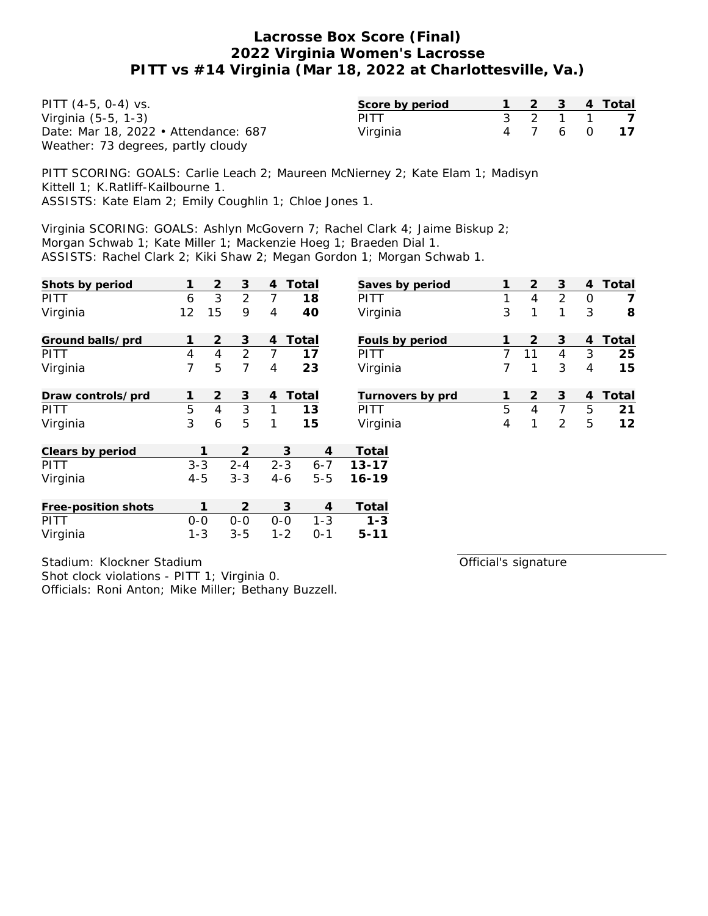| PITT $(4-5, 0-4)$ vs.                | Score by period |  |  | 1 2 3 4 Total |
|--------------------------------------|-----------------|--|--|---------------|
| Virginia (5-5, 1-3)                  | <b>PITT</b>     |  |  | 3 2 1 1 7     |
| Date: Mar 18, 2022 • Attendance: 687 | Virginia        |  |  | 4 7 6 0 17    |
| Weather: 73 degrees, partly cloudy   |                 |  |  |               |

PITT SCORING: GOALS: Carlie Leach 2; Maureen McNierney 2; Kate Elam 1; Madisyn Kittell 1; K.Ratliff-Kailbourne 1. ASSISTS: Kate Elam 2; Emily Coughlin 1; Chloe Jones 1.

Virginia SCORING: GOALS: Ashlyn McGovern 7; Rachel Clark 4; Jaime Biskup 2; Morgan Schwab 1; Kate Miller 1; Mackenzie Hoeg 1; Braeden Dial 1. ASSISTS: Rachel Clark 2; Kiki Shaw 2; Megan Gordon 1; Morgan Schwab 1.

| Shots by period     | 1       | 2              | 3              | $\overline{4}$ | Total   | Saves by period  | 1 | 2              | 3 | 4              | Total |
|---------------------|---------|----------------|----------------|----------------|---------|------------------|---|----------------|---|----------------|-------|
| PITT                | 6       | 3              | $\overline{2}$ | 7              | 18      | PITT             | 1 | 4              | 2 | $\circ$        | 7     |
| Virginia            | 12      | 15             | 9              | 4              | 40      | Virginia         | 3 | 1              | 1 | 3              | 8     |
| Ground balls/prd    |         | $\overline{2}$ | 3              | $\overline{4}$ | Total   | Fouls by period  |   | $\overline{2}$ | 3 | 4              | Total |
| <b>PITT</b>         | 4       | $\overline{4}$ | $\overline{2}$ | 7              | 17      | PITT             | 7 | 11             | 4 | 3              | 25    |
| Virginia            | 7       | 5              | 7              | 4              | 23      | Virginia         | 7 | 1              | 3 | 4              | 15    |
| Draw controls/prd   | 1       | $\overline{2}$ | 3              | $\overline{4}$ | Total   | Turnovers by prd | 1 | 2              | 3 | $\overline{4}$ | Total |
| <b>PITT</b>         | 5       | $\overline{4}$ | 3              | 1              | 13      | PITT             | 5 | 4              | 7 | 5              | 21    |
| Virginia            | 3       | 6              | 5              | 1              | 15      | Virginia         | 4 | 1              | 2 | 5              | 12    |
| Clears by period    |         | 1              | 2              |                | 3<br>4  | Total            |   |                |   |                |       |
| <b>PITT</b>         | $3 - 3$ |                | $2 - 4$        | $2 - 3$        | $6 - 7$ | $13 - 17$        |   |                |   |                |       |
| Virginia            | $4 - 5$ |                | $3 - 3$        | $4 - 6$        | $5 - 5$ | $16 - 19$        |   |                |   |                |       |
| Free-position shots |         | 1              | $\overline{2}$ |                | 3<br>4  | Total            |   |                |   |                |       |
| PITT                | $0-0$   |                | $0 - 0$        | $0 - 0$        | $1 - 3$ | $1 - 3$          |   |                |   |                |       |
| Virginia            | $1 - 3$ |                | $3 - 5$        | $1 - 2$        | $0 - 1$ | $5 - 11$         |   |                |   |                |       |

Stadium: Klockner Stadium Shot clock violations - PITT 1; Virginia 0. Officials: Roni Anton; Mike Miller; Bethany Buzzell. Official's signature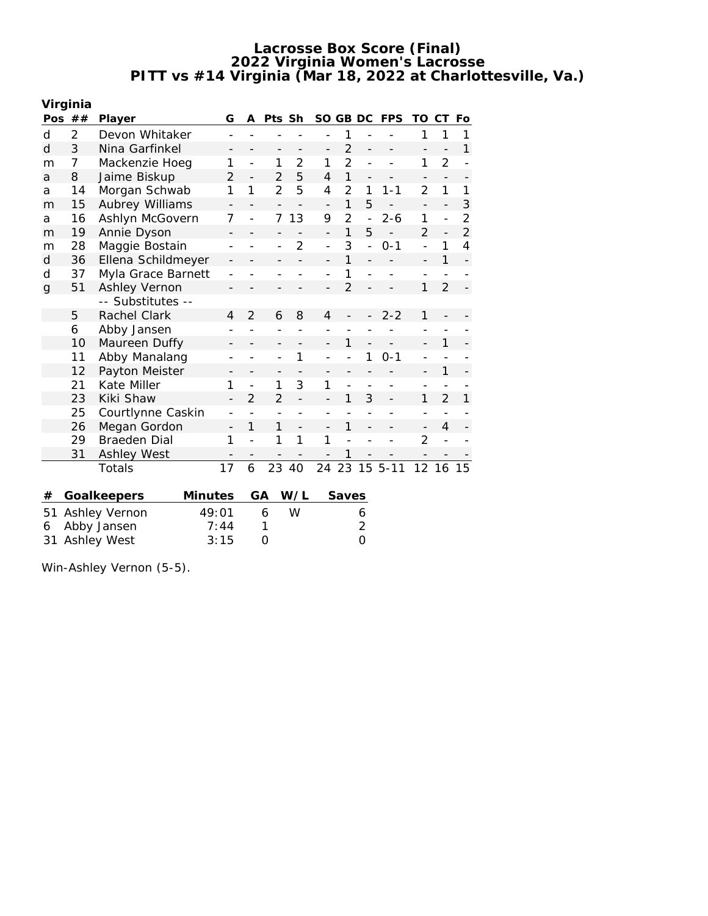|             | Virginia |                    |                          |                          |                |                |                          |                |                |            |                          |                          |                |
|-------------|----------|--------------------|--------------------------|--------------------------|----------------|----------------|--------------------------|----------------|----------------|------------|--------------------------|--------------------------|----------------|
|             | Pos $##$ | Player             | G                        | A                        | Pts Sh         |                | SO GB DC                 |                |                | <b>FPS</b> | TO                       | CТ                       | Fo             |
| d           | 2        | Devon Whitaker     |                          |                          |                |                |                          | 1              |                |            | 1                        | 1                        | 1              |
| d           | 3        | Nina Garfinkel     |                          |                          |                |                |                          | $\overline{2}$ |                |            |                          |                          | 1              |
| m           | 7        | Mackenzie Hoeg     | 1                        |                          | 1              | 2              | 1                        | $\overline{2}$ |                |            | 1                        | $\overline{2}$           |                |
| a           | 8        | Jaime Biskup       | $\overline{2}$           | $\overline{\phantom{0}}$ | $\overline{2}$ | 5              | 4                        | 1              |                |            | $\qquad \qquad -$        |                          |                |
| a           | 14       | Morgan Schwab      | 1                        | 1                        | $\overline{2}$ | 5              | 4                        | $\overline{2}$ | 1              | $1 - 1$    | $\overline{2}$           | 1                        | 1              |
| m           | 15       | Aubrey Williams    |                          |                          |                |                | $\overline{\phantom{a}}$ | 1              | 5              |            | $\overline{\phantom{a}}$ | $\overline{\phantom{0}}$ | 3              |
| a           | 16       | Ashlyn McGovern    | 7                        |                          | 7              | 13             | 9                        | $\overline{2}$ | $\overline{a}$ | $2 - 6$    | 1                        |                          | $\overline{2}$ |
| m           | 19       | Annie Dyson        |                          |                          |                |                | $\overline{\phantom{0}}$ | 1              | 5              |            | $\overline{2}$           | $\overline{\phantom{0}}$ | $\overline{2}$ |
| m           | 28       | Maggie Bostain     |                          |                          |                | $\overline{2}$ | $\overline{a}$           | 3              |                | $0 - 1$    |                          | 1                        | 4              |
| d           | 36       | Ellena Schildmeyer |                          |                          |                |                |                          | 1              |                |            |                          | 1                        |                |
| d           | 37       | Myla Grace Barnett |                          |                          |                |                |                          | 1              |                |            |                          |                          |                |
| $\mathbf g$ | 51       | Ashley Vernon      |                          |                          |                |                |                          | $\overline{2}$ |                |            | 1                        | $\overline{2}$           |                |
|             |          | -- Substitutes --  |                          |                          |                |                |                          |                |                |            |                          |                          |                |
|             | 5        | Rachel Clark       | 4                        | $\overline{2}$           | 6              | 8              | 4                        |                |                | $2 - 2$    | 1                        |                          |                |
|             | 6        | Abby Jansen        |                          |                          |                |                |                          |                |                |            |                          |                          |                |
|             | 10       | Maureen Duffy      |                          |                          |                |                |                          | 1              |                |            |                          | 1                        |                |
|             | 11       | Abby Manalang      |                          |                          |                | 1              |                          |                | 1              | $0 - 1$    | $\overline{a}$           |                          |                |
|             | 12       | Payton Meister     |                          |                          |                |                |                          |                |                |            |                          | 1                        |                |
|             | 21       | Kate Miller        | 1                        |                          | 1              | 3              | 1                        |                |                |            |                          |                          |                |
|             | 23       | Kiki Shaw          |                          | $\mathfrak{D}$           | $\mathfrak{D}$ |                |                          | 1              | 3              |            | 1                        | $\overline{2}$           | 1              |
|             | 25       | Courtlynne Caskin  |                          |                          |                |                |                          |                |                |            |                          |                          |                |
|             | 26       | Megan Gordon       | $\overline{\phantom{0}}$ | 1                        | 1              |                |                          | 1              |                |            | $\overline{\phantom{m}}$ | $\overline{4}$           |                |
|             | 29       | Braeden Dial       | 1                        |                          | 1              | 1              | 1                        |                |                |            | $\overline{2}$           |                          |                |
|             | 31       | <b>Ashley West</b> |                          |                          |                |                |                          |                |                |            |                          |                          |                |
|             |          | Totals             | 17                       | 6                        | 23             | 40             | 24                       | 23             |                | $155 - 11$ | 12                       | 16                       |                |
|             |          |                    |                          |                          |                |                |                          |                |                |            |                          |                          |                |
| #           |          | Goalkeepers        | <b>Minutes</b>           |                          | GА             | W/L            |                          | Saves          |                |            |                          |                          |                |
| 51          |          | Ashley Vernon      | 49:01                    |                          | 6              | W              |                          |                | 6              |            |                          |                          |                |

6 Abby Jansen 7:44 1 2 31 Ashley West 3:15 0 0 0

Win-Ashley Vernon (5-5).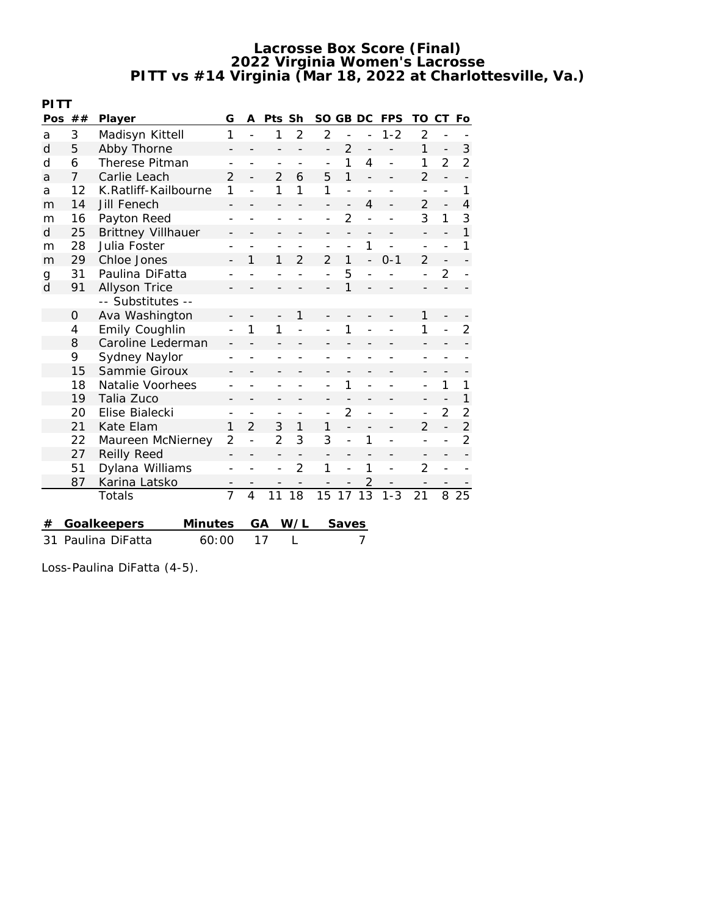|                             | PITT           |                           |                          |                |                          |                |                          |                          |                |                |                          |                          |                |
|-----------------------------|----------------|---------------------------|--------------------------|----------------|--------------------------|----------------|--------------------------|--------------------------|----------------|----------------|--------------------------|--------------------------|----------------|
| Pos                         | ##             | Player                    | G                        | A              | Pts Sh                   |                | SO GB DC                 |                          |                | <b>FPS</b>     | TO                       | СT                       | Fo             |
| a                           | 3              | Madisyn Kittell           | 1                        |                | 1                        | $\overline{2}$ | $\overline{2}$           |                          |                | $1 - 2$        | $\overline{2}$           | $\overline{\phantom{a}}$ |                |
| d                           | 5              | Abby Thorne               |                          |                |                          |                | $\overline{a}$           | $\overline{2}$           |                |                | 1                        |                          | 3              |
| d                           | 6              | Therese Pitman            |                          |                |                          |                |                          | 1                        | 4              | $\overline{a}$ | 1                        | $\overline{2}$           | $\overline{2}$ |
| a                           | $\overline{7}$ | Carlie Leach              | $\mathfrak{D}$           |                | $\mathfrak{D}$           | 6              | 5                        | 1                        |                |                | $\overline{2}$           | $\overline{a}$           |                |
| a                           | 12             | K.Ratliff-Kailbourne      | 1                        | $\overline{a}$ | 1                        | 1              | 1                        | $\overline{a}$           |                |                | $\overline{\phantom{a}}$ |                          | 1              |
| m                           | 14             | Jill Fenech               |                          |                |                          |                |                          |                          | 4              |                | $\overline{2}$           |                          | 4              |
| m                           | 16             | Payton Reed               |                          |                |                          |                |                          | $\overline{2}$           |                |                | 3                        | 1                        | 3              |
| d                           | 25             | <b>Brittney Villhauer</b> |                          |                |                          |                |                          | $\overline{\phantom{0}}$ | -              |                | $\overline{\phantom{0}}$ |                          | 1              |
| m                           | 28             | Julia Foster              |                          |                |                          |                |                          |                          | 1              |                |                          |                          | 1              |
| m                           | 29             | Chloe Jones               |                          | 1              | 1                        | $\overline{2}$ | $\overline{2}$           | 1                        |                | $0 - 1$        | $\overline{2}$           |                          |                |
| g                           | 31             | Paulina DiFatta           |                          |                |                          |                |                          | 5                        |                |                |                          | $\overline{2}$           |                |
| d                           | 91             | Allyson Trice             |                          |                |                          |                |                          |                          |                |                |                          |                          |                |
|                             |                | -- Substitutes --         |                          |                |                          |                |                          |                          |                |                |                          |                          |                |
|                             | 0              | Ava Washington            |                          |                |                          | 1              |                          |                          |                |                | 1                        |                          |                |
|                             | 4              | Emily Coughlin            |                          | 1              | 1                        |                |                          |                          |                |                | 1                        |                          | $\overline{2}$ |
|                             | 8              | Caroline Lederman         |                          |                |                          |                |                          |                          |                |                | $\qquad \qquad -$        |                          |                |
|                             | 9              | Sydney Naylor             |                          |                |                          |                |                          |                          |                |                |                          |                          |                |
|                             | 15             | Sammie Giroux             |                          |                |                          |                |                          |                          |                |                |                          |                          |                |
|                             | 18             | Natalie Voorhees          |                          |                |                          |                |                          | 1                        |                |                | $\overline{\phantom{0}}$ | 1                        | 1              |
|                             | 19             | Talia Zuco                |                          |                |                          |                |                          |                          |                |                | $\overline{\phantom{a}}$ |                          | 1              |
|                             | 20             | Elise Bialecki            |                          |                |                          |                | $\overline{a}$           | 2                        |                |                | $\overline{a}$           | $\overline{2}$           | $\overline{2}$ |
|                             | 21             | Kate Elam                 | 1                        | $\overline{2}$ | 3                        | 1              | 1                        |                          |                |                | $\overline{2}$           | $\overline{a}$           | $\overline{2}$ |
|                             | 22             | Maureen McNierney         | $\overline{2}$           |                | $\overline{2}$           | 3              | 3                        | $\overline{a}$           | 1              |                | $\overline{a}$           |                          | $\overline{2}$ |
|                             | 27             | <b>Reilly Reed</b>        | $\overline{\phantom{0}}$ |                | $\overline{\phantom{a}}$ |                | $\overline{\phantom{a}}$ |                          |                |                | $\qquad \qquad -$        |                          |                |
|                             | 51             | Dylana Williams           |                          |                |                          | $\overline{2}$ | 1                        |                          | 1              | $\overline{a}$ | $\overline{2}$           |                          |                |
|                             | 87             | Karina Latsko             | $\qquad \qquad -$        |                |                          |                |                          |                          | $\overline{2}$ |                | $\overline{a}$           |                          |                |
|                             |                | Totals                    | $\overline{7}$           | 4              | 11                       | 18             | 15                       | 17                       | 13             | $1 - 3$        | 21                       | 8                        | 25             |
|                             |                |                           |                          |                |                          |                |                          |                          |                |                |                          |                          |                |
| Goalkeepers<br>Minutes<br># |                |                           |                          |                | GA                       | W/L            |                          | Saves                    |                |                |                          |                          |                |

31 Paulina DiFatta 60:00 17 L 7

Loss-Paulina DiFatta (4-5).